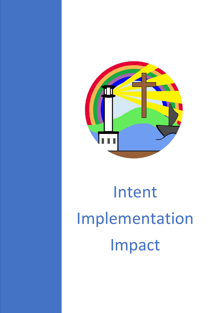

## Intent Implementation Impact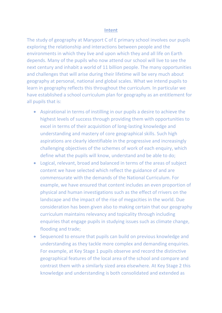## **Intent**

The study of geography at Maryport C of E primary school involves our pupils exploring the relationship and interactions between people and the environments in which they live and upon which they and all life on Earth depends. Many of the pupils who now attend our school will live to see the next century and inhabit a world of 11 billion people. The many opportunities and challenges that will arise during their lifetime will be very much about geography at personal, national and global scales. What we intend pupils to learn in geography reflects this throughout the curriculum. In particular we have established a school curriculum plan for geography as an entitlement for all pupils that is:

- Aspirational in terms of instilling in our pupils a desire to achieve the highest levels of success through providing them with opportunities to excel in terms of their acquisition of long-lasting knowledge and understanding and mastery of core geographical skills. Such high aspirations are clearly identifiable in the progressive and increasingly challenging objectives of the schemes of work of each enquiry, which define what the pupils will know, understand and be able to do;
- Logical, relevant, broad and balanced in terms of the areas of subject content we have selected which reflect the guidance of and are commensurate with the demands of the National Curriculum. For example, we have ensured that content includes an even proportion of physical and human investigations such as the effect of rrivers on the landscape and the impact of the rise of megacities in the world. Due consideration has been given also to making certain that our geography curriculum maintains relevancy and topicality through including enquiries that engage pupils in studying issues such as climate change, flooding and trade;
- Sequenced to ensure that pupils can build on previous knowledge and understanding as they tackle more complex and demanding enquiries. For example, at Key Stage 1 pupils observe and record the distinctive geographical features of the local area of the school and compare and contrast them with a similarly sized area elsewhere. At Key Stage 2 this knowledge and understanding is both consolidated and extended as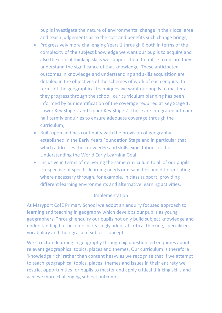pupils investigate the nature of environmental change in their local area and reach judgements as to the cost and benefits such change brings;

- Progressively more challenging Years 1 through 6 both in terms of the complexity of the subject knowledge we want our pupils to acquire and also the critical thinking skills we support them to utilise to ensure they understand the significance of that knowledge. These anticipated outcomes in knowledge and understanding and skills acquisition are detailed in the objectives of the schemes of work of each enquiry. In terms of the geographical techniques we want our pupils to master as they progress through the school, our curriculum planning has been informed by our identification of the coverage required at Key Stage 1, Lower Key Stage 2 and Upper Key Stage 2. These are integrated into our half termly enquiries to ensure adequate coverage through the curriculum;
- Built upon and has continuity with the provision of geography established in the Early Years Foundation Stage and in particular that which addresses the knowledge and skills expectations of the Understanding the World Early Learning Goal;
- Inclusive in terms of delivering the same curriculum to all of our pupils irrespective of specific learning needs or disabilities and differentiating where necessary through, for example, in class support, providing different learning environments and alternative learning activities.

## Implementation

At Maryport CofE Primary School we adopt an enquiry focused approach to learning and teaching in geography which develops our pupils as young geographers. Through enquiry our pupils not only build subject knowledge and understanding but become increasingly adept at critical thinking, specialised vocabulary and their grasp of subject concepts.

We structure learning in geography through big question led enquiries about relevant geographical topics, places and themes. Our curriculum is therefore 'knowledge rich' rather than content heavy as we recognise that if we attempt to teach geographical topics, places, themes and issues in their entirety we restrict opportunities for pupils to master and apply critical thinking skills and achieve more challenging subject outcomes.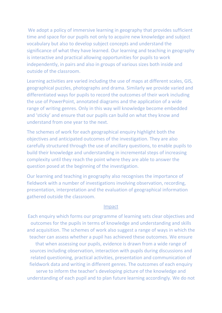We adopt a policy of immersive learning in geography that provides sufficient time and space for our pupils not only to acquire new knowledge and subject vocabulary but also to develop subject concepts and understand the significance of what they have learned. Our learning and teaching in geography is interactive and practical allowing opportunities for pupils to work independently, in pairs and also in groups of various sizes both inside and outside of the classroom.

Learning activities are varied including the use of maps at different scales, GIS, geographical puzzles, photographs and drama. Similarly we provide varied and differentiated ways for pupils to record the outcomes of their work including the use of PowerPoint, annotated diagrams and the application of a wide range of writing genres. Only in this way will knowledge become embedded and 'sticky' and ensure that our pupils can build on what they know and understand from one year to the next.

The schemes of work for each geographical enquiry highlight both the objectives and anticipated outcomes of the investigation. They are also carefully structured through the use of ancillary questions, to enable pupils to build their knowledge and understanding in incremental steps of increasing complexity until they reach the point where they are able to answer the question posed at the beginning of the investigation.

Our learning and teaching in geography also recognises the importance of fieldwork with a number of investigations involving observation, recording, presentation, interpretation and the evaluation of geographical information gathered outside the classroom.

## Impact

Each enquiry which forms our programme of learning sets clear objectives and outcomes for the pupils in terms of knowledge and understanding and skills and acquisition. The schemes of work also suggest a range of ways in which the teacher can assess whether a pupil has achieved these outcomes. We ensure that when assessing our pupils, evidence is drawn from a wide range of sources including observation, interaction with pupils during discussions and related questioning, practical activities, presentation and communication of fieldwork data and writing in different genres. The outcomes of each enquiry serve to inform the teacher's developing picture of the knowledge and understanding of each pupil and to plan future learning accordingly. We do not